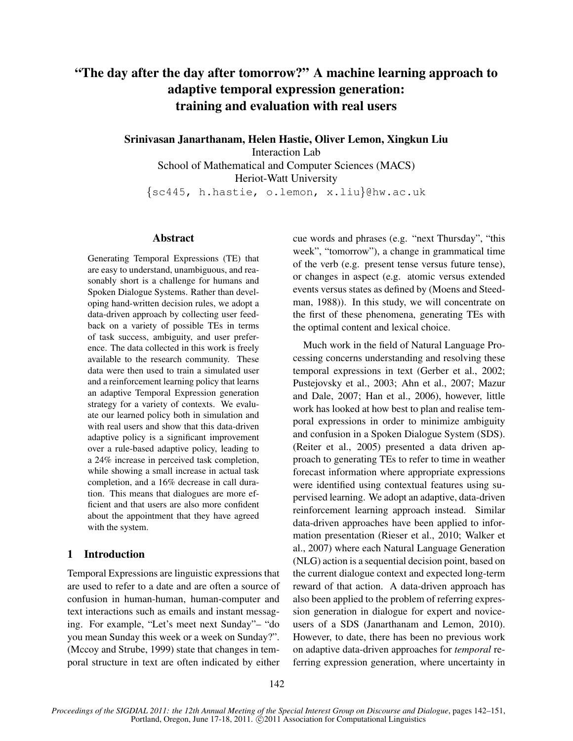# "The day after the day after tomorrow?" A machine learning approach to adaptive temporal expression generation: training and evaluation with real users

Srinivasan Janarthanam, Helen Hastie, Oliver Lemon, Xingkun Liu Interaction Lab

School of Mathematical and Computer Sciences (MACS) Heriot-Watt University {sc445, h.hastie, o.lemon, x.liu}@hw.ac.uk

# Abstract

Generating Temporal Expressions (TE) that are easy to understand, unambiguous, and reasonably short is a challenge for humans and Spoken Dialogue Systems. Rather than developing hand-written decision rules, we adopt a data-driven approach by collecting user feedback on a variety of possible TEs in terms of task success, ambiguity, and user preference. The data collected in this work is freely available to the research community. These data were then used to train a simulated user and a reinforcement learning policy that learns an adaptive Temporal Expression generation strategy for a variety of contexts. We evaluate our learned policy both in simulation and with real users and show that this data-driven adaptive policy is a significant improvement over a rule-based adaptive policy, leading to a 24% increase in perceived task completion, while showing a small increase in actual task completion, and a 16% decrease in call duration. This means that dialogues are more efficient and that users are also more confident about the appointment that they have agreed with the system.

# 1 Introduction

Temporal Expressions are linguistic expressions that are used to refer to a date and are often a source of confusion in human-human, human-computer and text interactions such as emails and instant messaging. For example, "Let's meet next Sunday"– "do you mean Sunday this week or a week on Sunday?". (Mccoy and Strube, 1999) state that changes in temporal structure in text are often indicated by either cue words and phrases (e.g. "next Thursday", "this week", "tomorrow"), a change in grammatical time of the verb (e.g. present tense versus future tense), or changes in aspect (e.g. atomic versus extended events versus states as defined by (Moens and Steedman, 1988)). In this study, we will concentrate on the first of these phenomena, generating TEs with the optimal content and lexical choice.

Much work in the field of Natural Language Processing concerns understanding and resolving these temporal expressions in text (Gerber et al., 2002; Pustejovsky et al., 2003; Ahn et al., 2007; Mazur and Dale, 2007; Han et al., 2006), however, little work has looked at how best to plan and realise temporal expressions in order to minimize ambiguity and confusion in a Spoken Dialogue System (SDS). (Reiter et al., 2005) presented a data driven approach to generating TEs to refer to time in weather forecast information where appropriate expressions were identified using contextual features using supervised learning. We adopt an adaptive, data-driven reinforcement learning approach instead. Similar data-driven approaches have been applied to information presentation (Rieser et al., 2010; Walker et al., 2007) where each Natural Language Generation (NLG) action is a sequential decision point, based on the current dialogue context and expected long-term reward of that action. A data-driven approach has also been applied to the problem of referring expression generation in dialogue for expert and noviceusers of a SDS (Janarthanam and Lemon, 2010). However, to date, there has been no previous work on adaptive data-driven approaches for *temporal* referring expression generation, where uncertainty in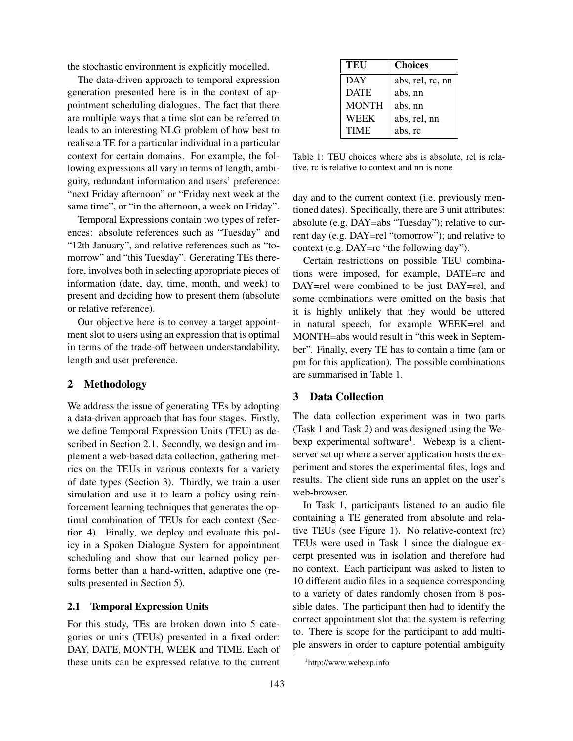the stochastic environment is explicitly modelled.

The data-driven approach to temporal expression generation presented here is in the context of appointment scheduling dialogues. The fact that there are multiple ways that a time slot can be referred to leads to an interesting NLG problem of how best to realise a TE for a particular individual in a particular context for certain domains. For example, the following expressions all vary in terms of length, ambiguity, redundant information and users' preference: "next Friday afternoon" or "Friday next week at the same time", or "in the afternoon, a week on Friday".

Temporal Expressions contain two types of references: absolute references such as "Tuesday" and "12th January", and relative references such as "tomorrow" and "this Tuesday". Generating TEs therefore, involves both in selecting appropriate pieces of information (date, day, time, month, and week) to present and deciding how to present them (absolute or relative reference).

Our objective here is to convey a target appointment slot to users using an expression that is optimal in terms of the trade-off between understandability, length and user preference.

#### 2 Methodology

We address the issue of generating TEs by adopting a data-driven approach that has four stages. Firstly, we define Temporal Expression Units (TEU) as described in Section 2.1. Secondly, we design and implement a web-based data collection, gathering metrics on the TEUs in various contexts for a variety of date types (Section 3). Thirdly, we train a user simulation and use it to learn a policy using reinforcement learning techniques that generates the optimal combination of TEUs for each context (Section 4). Finally, we deploy and evaluate this policy in a Spoken Dialogue System for appointment scheduling and show that our learned policy performs better than a hand-written, adaptive one (results presented in Section 5).

# 2.1 Temporal Expression Units

For this study, TEs are broken down into 5 categories or units (TEUs) presented in a fixed order: DAY, DATE, MONTH, WEEK and TIME. Each of these units can be expressed relative to the current

| TEU          | <b>Choices</b>   |
|--------------|------------------|
| <b>DAY</b>   | abs, rel, rc, nn |
| <b>DATE</b>  | abs, nn          |
| <b>MONTH</b> | abs, nn          |
| <b>WEEK</b>  | abs, rel, nn     |
| <b>TIME</b>  | abs, rc          |

Table 1: TEU choices where abs is absolute, rel is relative, rc is relative to context and nn is none

day and to the current context (i.e. previously mentioned dates). Specifically, there are 3 unit attributes: absolute (e.g. DAY=abs "Tuesday"); relative to current day (e.g. DAY=rel "tomorrow"); and relative to context (e.g. DAY=rc "the following day").

Certain restrictions on possible TEU combinations were imposed, for example, DATE=rc and DAY=rel were combined to be just DAY=rel, and some combinations were omitted on the basis that it is highly unlikely that they would be uttered in natural speech, for example WEEK=rel and MONTH=abs would result in "this week in September". Finally, every TE has to contain a time (am or pm for this application). The possible combinations are summarised in Table 1.

# 3 Data Collection

The data collection experiment was in two parts (Task 1 and Task 2) and was designed using the Webexp experimental software<sup>1</sup>. Webexp is a clientserver set up where a server application hosts the experiment and stores the experimental files, logs and results. The client side runs an applet on the user's web-browser.

In Task 1, participants listened to an audio file containing a TE generated from absolute and relative TEUs (see Figure 1). No relative-context (rc) TEUs were used in Task 1 since the dialogue excerpt presented was in isolation and therefore had no context. Each participant was asked to listen to 10 different audio files in a sequence corresponding to a variety of dates randomly chosen from 8 possible dates. The participant then had to identify the correct appointment slot that the system is referring to. There is scope for the participant to add multiple answers in order to capture potential ambiguity

<sup>1</sup> http://www.webexp.info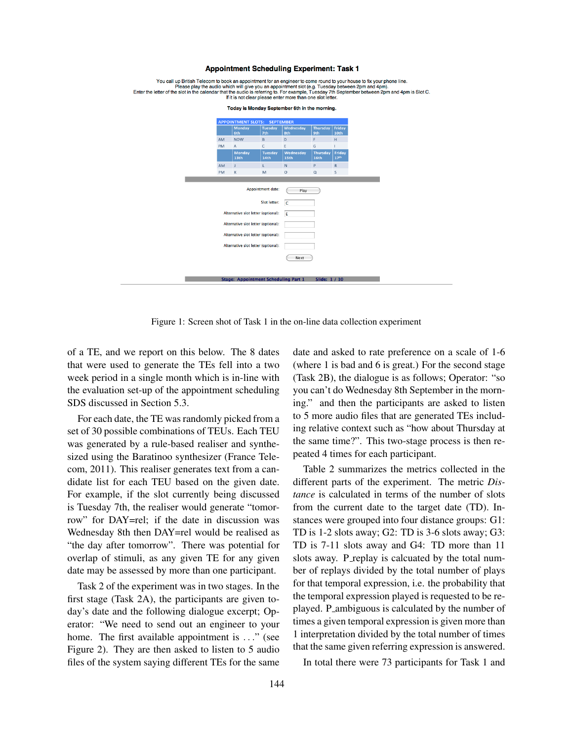#### **Appointment Scheduling Experiment: Task 1**

| You call up British Telecom to book an appointment for an engineer to come round to your house to fix your phone line.<br>Please play the audio which will give you an appointment slot (e.g. Tuesday between 2pm and 4pm).<br>Enter the letter of the slot in the calendar that the audio is referring to. For example, Tuesday 7th September between 2pm and 4pm is Slot C.<br>If it is not clear please enter more than one slot letter. |                                     |                                             |                                    |                          |                                     |                            |  |
|---------------------------------------------------------------------------------------------------------------------------------------------------------------------------------------------------------------------------------------------------------------------------------------------------------------------------------------------------------------------------------------------------------------------------------------------|-------------------------------------|---------------------------------------------|------------------------------------|--------------------------|-------------------------------------|----------------------------|--|
| Today is Monday September 6th in the morning.                                                                                                                                                                                                                                                                                                                                                                                               |                                     |                                             |                                    |                          |                                     |                            |  |
| <b>APPOINTMENT SLOTS: SEPTEMBER</b>                                                                                                                                                                                                                                                                                                                                                                                                         |                                     |                                             |                                    |                          |                                     |                            |  |
|                                                                                                                                                                                                                                                                                                                                                                                                                                             |                                     | <b>Monday</b><br>6th                        | <b>Tuesday</b><br>7th              | Wednesday<br>8th         | <b>Thursday</b><br>9th              | Friday<br>10 <sub>th</sub> |  |
|                                                                                                                                                                                                                                                                                                                                                                                                                                             | AM                                  | <b>NOW</b>                                  | B                                  | D                        | F                                   | H                          |  |
|                                                                                                                                                                                                                                                                                                                                                                                                                                             | PM                                  | A                                           | C                                  | E                        | G                                   |                            |  |
|                                                                                                                                                                                                                                                                                                                                                                                                                                             |                                     | <b>Monday</b><br>13 <sub>th</sub>           | <b>Tuesday</b><br>14 <sub>th</sub> | <b>Wednesday</b><br>15th | <b>Thursday</b><br>16 <sub>th</sub> | Friday<br>17 <sup>th</sup> |  |
|                                                                                                                                                                                                                                                                                                                                                                                                                                             | AM                                  | T.                                          | L                                  | N                        | P.                                  | $\mathsf{R}$               |  |
|                                                                                                                                                                                                                                                                                                                                                                                                                                             | PM                                  | K                                           | M                                  | $\circ$                  | Q                                   | S                          |  |
|                                                                                                                                                                                                                                                                                                                                                                                                                                             |                                     |                                             | Appointment date:<br>Slot letter:  | Play<br>c                |                                     |                            |  |
|                                                                                                                                                                                                                                                                                                                                                                                                                                             |                                     | Alternative slot letter (optional):         |                                    | E                        |                                     |                            |  |
|                                                                                                                                                                                                                                                                                                                                                                                                                                             |                                     |                                             |                                    |                          |                                     |                            |  |
|                                                                                                                                                                                                                                                                                                                                                                                                                                             |                                     | Alternative slot letter (optional):         |                                    |                          |                                     |                            |  |
|                                                                                                                                                                                                                                                                                                                                                                                                                                             | Alternative slot letter (optional): |                                             |                                    |                          |                                     |                            |  |
|                                                                                                                                                                                                                                                                                                                                                                                                                                             |                                     | Alternative slot letter (optional):         |                                    |                          |                                     |                            |  |
|                                                                                                                                                                                                                                                                                                                                                                                                                                             |                                     |                                             |                                    | Next                     |                                     |                            |  |
|                                                                                                                                                                                                                                                                                                                                                                                                                                             |                                     |                                             |                                    |                          |                                     |                            |  |
|                                                                                                                                                                                                                                                                                                                                                                                                                                             |                                     | <b>Stage: Appointment Scheduling Part 1</b> |                                    |                          | Slide: 1 / 10                       |                            |  |

Figure 1: Screen shot of Task 1 in the on-line data collection experiment

of a TE, and we report on this below. The 8 dates that were used to generate the TEs fell into a two week period in a single month which is in-line with the evaluation set-up of the appointment scheduling SDS discussed in Section 5.3.

For each date, the TE was randomly picked from a set of 30 possible combinations of TEUs. Each TEU was generated by a rule-based realiser and synthesized using the Baratinoo synthesizer (France Telecom, 2011). This realiser generates text from a candidate list for each TEU based on the given date. For example, if the slot currently being discussed is Tuesday 7th, the realiser would generate "tomorrow" for DAY=rel; if the date in discussion was Wednesday 8th then DAY=rel would be realised as "the day after tomorrow". There was potential for overlap of stimuli, as any given TE for any given date may be assessed by more than one participant.

Task 2 of the experiment was in two stages. In the first stage (Task 2A), the participants are given today's date and the following dialogue excerpt; Operator: "We need to send out an engineer to your home. The first available appointment is ..." (see Figure 2). They are then asked to listen to 5 audio files of the system saying different TEs for the same date and asked to rate preference on a scale of 1-6 (where 1 is bad and 6 is great.) For the second stage (Task 2B), the dialogue is as follows; Operator: "so you can't do Wednesday 8th September in the morning." and then the participants are asked to listen to 5 more audio files that are generated TEs including relative context such as "how about Thursday at the same time?". This two-stage process is then repeated 4 times for each participant.

Table 2 summarizes the metrics collected in the different parts of the experiment. The metric *Distance* is calculated in terms of the number of slots from the current date to the target date (TD). Instances were grouped into four distance groups: G1: TD is 1-2 slots away; G2: TD is 3-6 slots away; G3: TD is 7-11 slots away and G4: TD more than 11 slots away. P\_replay is calcuated by the total number of replays divided by the total number of plays for that temporal expression, i.e. the probability that the temporal expression played is requested to be replayed. P\_ambiguous is calculated by the number of times a given temporal expression is given more than 1 interpretation divided by the total number of times that the same given referring expression is answered.

In total there were 73 participants for Task 1 and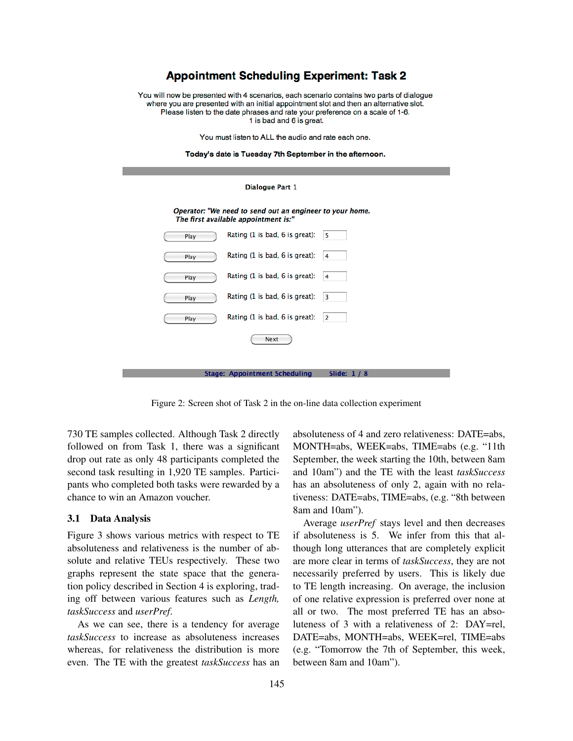# **Appointment Scheduling Experiment: Task 2**

You will now be presented with 4 scenarios, each scenario contains two parts of dialogue where you are presented with an initial appointment slot and then an alternative slot. Please listen to the date phrases and rate your preference on a scale of 1-6. 1 is bad and 6 is great.

You must listen to ALL the audio and rate each one.



| <b>Dialogue Part 1</b>                                                                           |                                |                         |  |  |
|--------------------------------------------------------------------------------------------------|--------------------------------|-------------------------|--|--|
| Operator: "We need to send out an engineer to your home.<br>The first available appointment is:" |                                |                         |  |  |
| Play                                                                                             | Rating (1 is bad, 6 is great): | 5                       |  |  |
| Play                                                                                             | Rating (1 is bad, 6 is great): | 4                       |  |  |
| Play                                                                                             | Rating (1 is bad, 6 is great): | 4                       |  |  |
| Play                                                                                             | Rating (1 is bad, 6 is great): | $\overline{\mathbf{3}}$ |  |  |
| Play                                                                                             | Rating (1 is bad, 6 is great): | 2                       |  |  |
|                                                                                                  | Next                           |                         |  |  |
|                                                                                                  | Stane: Annointment Scheduling  | $CliA\omega$ 1 / $R$    |  |  |

Figure 2: Screen shot of Task 2 in the on-line data collection experiment

730 TE samples collected. Although Task 2 directly followed on from Task 1, there was a significant drop out rate as only 48 participants completed the second task resulting in 1,920 TE samples. Participants who completed both tasks were rewarded by a chance to win an Amazon voucher.

#### 3.1 Data Analysis

Figure 3 shows various metrics with respect to TE absoluteness and relativeness is the number of absolute and relative TEUs respectively. These two graphs represent the state space that the generation policy described in Section 4 is exploring, trading off between various features such as *Length, taskSuccess* and *userPref*.

As we can see, there is a tendency for average *taskSuccess* to increase as absoluteness increases whereas, for relativeness the distribution is more even. The TE with the greatest *taskSuccess* has an absoluteness of 4 and zero relativeness: DATE=abs, MONTH=abs, WEEK=abs, TIME=abs (e.g. "11th September, the week starting the 10th, between 8am and 10am") and the TE with the least *taskSuccess* has an absoluteness of only 2, again with no relativeness: DATE=abs, TIME=abs, (e.g. "8th between 8am and 10am").

Average *userPref* stays level and then decreases if absoluteness is 5. We infer from this that although long utterances that are completely explicit are more clear in terms of *taskSuccess*, they are not necessarily preferred by users. This is likely due to TE length increasing. On average, the inclusion of one relative expression is preferred over none at all or two. The most preferred TE has an absoluteness of 3 with a relativeness of 2: DAY=rel, DATE=abs, MONTH=abs, WEEK=rel, TIME=abs (e.g. "Tomorrow the 7th of September, this week, between 8am and 10am").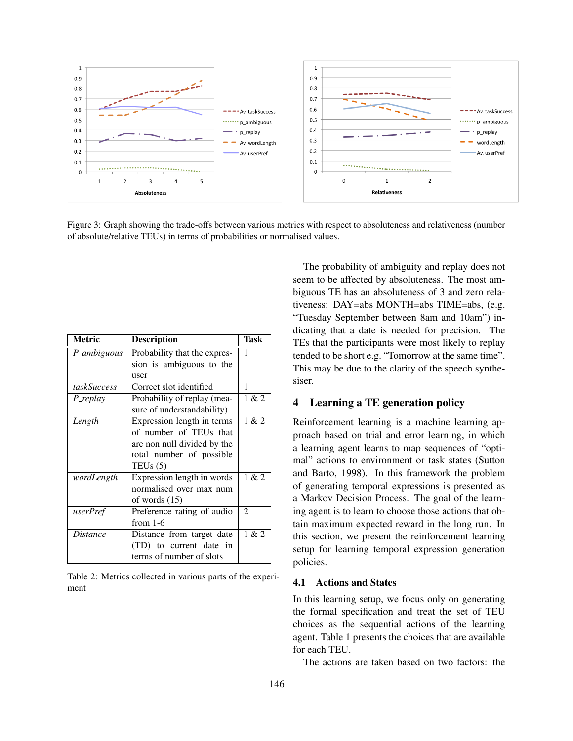

Figure 3: Graph showing the trade-offs between various metrics with respect to absoluteness and relativeness (number of absolute/relative TEUs) in terms of probabilities or normalised values.

| <b>Metric</b>   | <b>Description</b>           | Task           |
|-----------------|------------------------------|----------------|
| P_ambiguous     | Probability that the expres- | 1              |
|                 | sion is ambiguous to the     |                |
|                 | user                         |                |
| taskSuccess     | Correct slot identified      | 1              |
| P_replay        | Probability of replay (mea-  | 1 & 2          |
|                 | sure of understandability)   |                |
| Length          | Expression length in terms   | 1 & 2          |
|                 | of number of TEUs that       |                |
|                 | are non null divided by the  |                |
|                 | total number of possible     |                |
|                 | TEUs $(5)$                   |                |
| wordLength      | Expression length in words   | 1 & 2          |
|                 | normalised over max num      |                |
|                 | of words $(15)$              |                |
| userPref        | Preference rating of audio   | $\overline{c}$ |
|                 | from $1-6$                   |                |
| <i>Distance</i> | Distance from target date    | 1 & 2          |
|                 | (TD) to current date in      |                |
|                 | terms of number of slots     |                |

Table 2: Metrics collected in various parts of the experiment

The probability of ambiguity and replay does not seem to be affected by absoluteness. The most ambiguous TE has an absoluteness of 3 and zero relativeness: DAY=abs MONTH=abs TIME=abs, (e.g. "Tuesday September between 8am and 10am") indicating that a date is needed for precision. The TEs that the participants were most likely to replay tended to be short e.g. "Tomorrow at the same time". This may be due to the clarity of the speech synthesiser.

# 4 Learning a TE generation policy

Reinforcement learning is a machine learning approach based on trial and error learning, in which a learning agent learns to map sequences of "optimal" actions to environment or task states (Sutton and Barto, 1998). In this framework the problem of generating temporal expressions is presented as a Markov Decision Process. The goal of the learning agent is to learn to choose those actions that obtain maximum expected reward in the long run. In this section, we present the reinforcement learning setup for learning temporal expression generation policies.

#### 4.1 Actions and States

In this learning setup, we focus only on generating the formal specification and treat the set of TEU choices as the sequential actions of the learning agent. Table 1 presents the choices that are available for each TEU.

The actions are taken based on two factors: the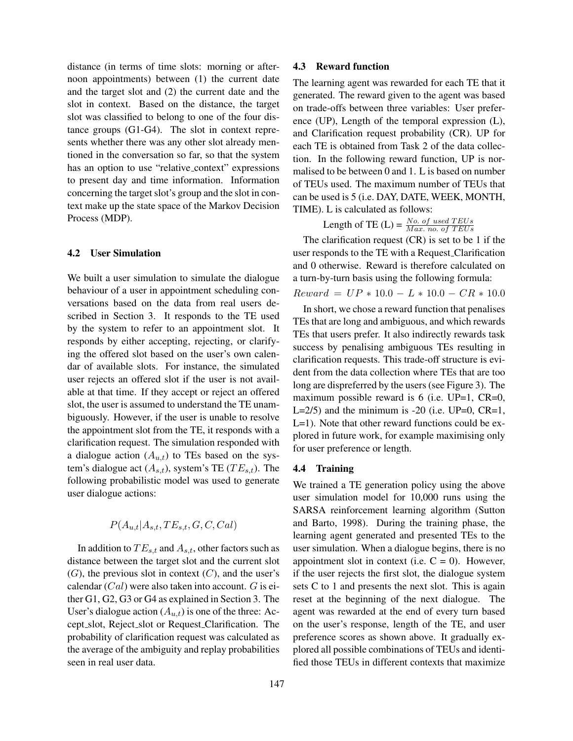distance (in terms of time slots: morning or afternoon appointments) between (1) the current date and the target slot and (2) the current date and the slot in context. Based on the distance, the target slot was classified to belong to one of the four distance groups (G1-G4). The slot in context represents whether there was any other slot already mentioned in the conversation so far, so that the system has an option to use "relative\_context" expressions to present day and time information. Information concerning the target slot's group and the slot in context make up the state space of the Markov Decision Process (MDP).

### 4.2 User Simulation

We built a user simulation to simulate the dialogue behaviour of a user in appointment scheduling conversations based on the data from real users described in Section 3. It responds to the TE used by the system to refer to an appointment slot. It responds by either accepting, rejecting, or clarifying the offered slot based on the user's own calendar of available slots. For instance, the simulated user rejects an offered slot if the user is not available at that time. If they accept or reject an offered slot, the user is assumed to understand the TE unambiguously. However, if the user is unable to resolve the appointment slot from the TE, it responds with a clarification request. The simulation responded with a dialogue action  $(A_{u,t})$  to TEs based on the system's dialogue act  $(A_{s,t})$ , system's TE ( $TE_{s,t}$ ). The following probabilistic model was used to generate user dialogue actions:

$$
P(A_{u,t}|A_{s,t}, TE_{s,t}, G, C, Cal)
$$

In addition to  $TE_{s,t}$  and  $A_{s,t}$ , other factors such as distance between the target slot and the current slot  $(G)$ , the previous slot in context  $(C)$ , and the user's calendar  $(Cal)$  were also taken into account.  $G$  is either G1, G2, G3 or G4 as explained in Section 3. The User's dialogue action  $(A_{u,t})$  is one of the three: Accept slot, Reject slot or Request Clarification. The probability of clarification request was calculated as the average of the ambiguity and replay probabilities seen in real user data.

#### 4.3 Reward function

The learning agent was rewarded for each TE that it generated. The reward given to the agent was based on trade-offs between three variables: User preference (UP), Length of the temporal expression (L), and Clarification request probability (CR). UP for each TE is obtained from Task 2 of the data collection. In the following reward function, UP is normalised to be between 0 and 1. L is based on number of TEUs used. The maximum number of TEUs that can be used is 5 (i.e. DAY, DATE, WEEK, MONTH, TIME). L is calculated as follows:

Length of TE (L) =  $\frac{No. \ of \ used \ TEUs}{Max. \ no. \ of \ TEUs}$ 

The clarification request  $(CR)$  is set to be 1 if the user responds to the TE with a Request Clarification and 0 otherwise. Reward is therefore calculated on a turn-by-turn basis using the following formula:

 $Reward = UP * 10.0 - L * 10.0 - CR * 10.0$ 

In short, we chose a reward function that penalises TEs that are long and ambiguous, and which rewards TEs that users prefer. It also indirectly rewards task success by penalising ambiguous TEs resulting in clarification requests. This trade-off structure is evident from the data collection where TEs that are too long are dispreferred by the users (see Figure 3). The maximum possible reward is 6 (i.e. UP=1, CR=0, L= $2/5$ ) and the minimum is -20 (i.e. UP=0, CR=1, L=1). Note that other reward functions could be explored in future work, for example maximising only for user preference or length.

# 4.4 Training

We trained a TE generation policy using the above user simulation model for 10,000 runs using the SARSA reinforcement learning algorithm (Sutton and Barto, 1998). During the training phase, the learning agent generated and presented TEs to the user simulation. When a dialogue begins, there is no appointment slot in context (i.e.  $C = 0$ ). However, if the user rejects the first slot, the dialogue system sets C to 1 and presents the next slot. This is again reset at the beginning of the next dialogue. The agent was rewarded at the end of every turn based on the user's response, length of the TE, and user preference scores as shown above. It gradually explored all possible combinations of TEUs and identified those TEUs in different contexts that maximize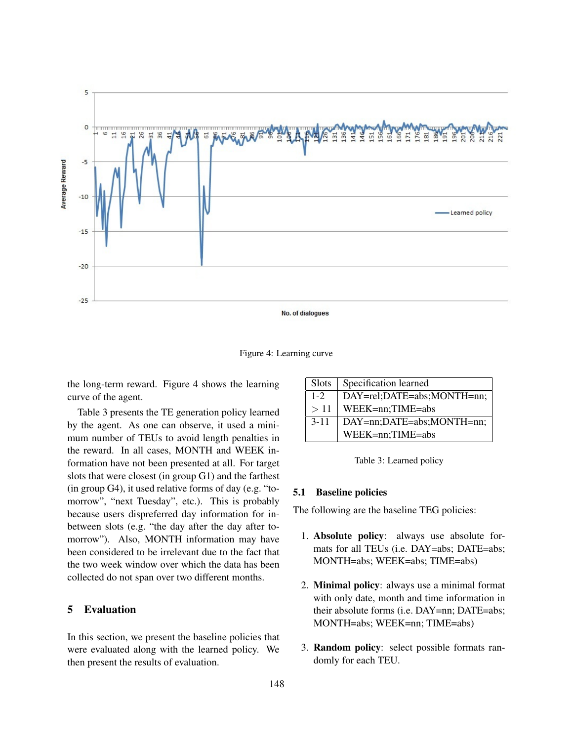

Figure 4: Learning curve

the long-term reward. Figure 4 shows the learning curve of the agent.

Table 3 presents the TE generation policy learned by the agent. As one can observe, it used a minimum number of TEUs to avoid length penalties in the reward. In all cases, MONTH and WEEK information have not been presented at all. For target slots that were closest (in group G1) and the farthest (in group G4), it used relative forms of day (e.g. "tomorrow", "next Tuesday", etc.). This is probably because users dispreferred day information for inbetween slots (e.g. "the day after the day after tomorrow"). Also, MONTH information may have been considered to be irrelevant due to the fact that the two week window over which the data has been collected do not span over two different months.

# 5 Evaluation

In this section, we present the baseline policies that were evaluated along with the learned policy. We then present the results of evaluation.

| Slots    | Specification learned      |
|----------|----------------------------|
| $1 - 2$  | DAY=rel;DATE=abs;MONTH=nn; |
| >11      | WEEK=nn;TIME=abs           |
| $3 - 11$ | DAY=nn;DATE=abs;MONTH=nn;  |
|          | WEEK=nn;TIME=abs           |

Table 3: Learned policy

### 5.1 Baseline policies

The following are the baseline TEG policies:

- 1. Absolute policy: always use absolute formats for all TEUs (i.e. DAY=abs; DATE=abs; MONTH=abs; WEEK=abs; TIME=abs)
- 2. Minimal policy: always use a minimal format with only date, month and time information in their absolute forms (i.e. DAY=nn; DATE=abs; MONTH=abs; WEEK=nn; TIME=abs)
- 3. Random policy: select possible formats randomly for each TEU.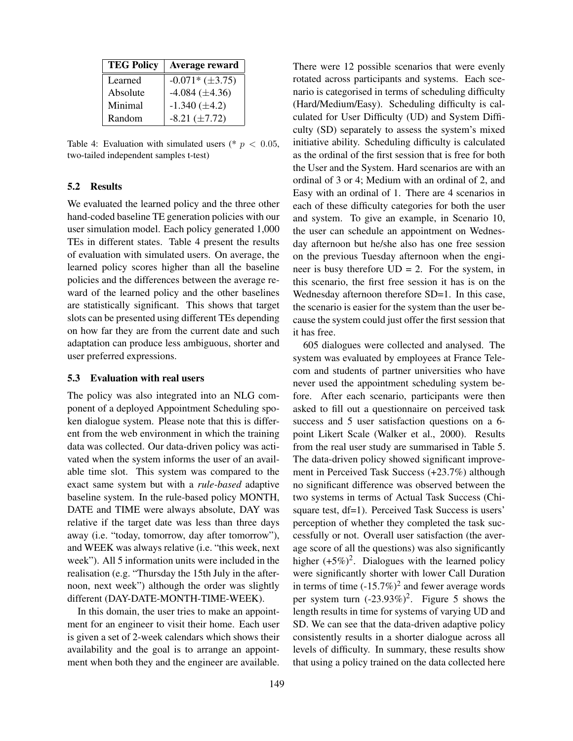| <b>TEG Policy</b> | Average reward        |
|-------------------|-----------------------|
| Learned           | $-0.071*(\pm 3.75)$   |
| Absolute          | $-4.084 \ (\pm 4.36)$ |
| Minimal           | $-1.340 \ (\pm 4.2)$  |
| Random            | $-8.21 (\pm 7.72)$    |

Table 4: Evaluation with simulated users (\*  $p < 0.05$ , two-tailed independent samples t-test)

#### 5.2 Results

We evaluated the learned policy and the three other hand-coded baseline TE generation policies with our user simulation model. Each policy generated 1,000 TEs in different states. Table 4 present the results of evaluation with simulated users. On average, the learned policy scores higher than all the baseline policies and the differences between the average reward of the learned policy and the other baselines are statistically significant. This shows that target slots can be presented using different TEs depending on how far they are from the current date and such adaptation can produce less ambiguous, shorter and user preferred expressions.

#### 5.3 Evaluation with real users

The policy was also integrated into an NLG component of a deployed Appointment Scheduling spoken dialogue system. Please note that this is different from the web environment in which the training data was collected. Our data-driven policy was activated when the system informs the user of an available time slot. This system was compared to the exact same system but with a *rule-based* adaptive baseline system. In the rule-based policy MONTH, DATE and TIME were always absolute, DAY was relative if the target date was less than three days away (i.e. "today, tomorrow, day after tomorrow"), and WEEK was always relative (i.e. "this week, next week"). All 5 information units were included in the realisation (e.g. "Thursday the 15th July in the afternoon, next week") although the order was slightly different (DAY-DATE-MONTH-TIME-WEEK).

In this domain, the user tries to make an appointment for an engineer to visit their home. Each user is given a set of 2-week calendars which shows their availability and the goal is to arrange an appointment when both they and the engineer are available. There were 12 possible scenarios that were evenly rotated across participants and systems. Each scenario is categorised in terms of scheduling difficulty (Hard/Medium/Easy). Scheduling difficulty is calculated for User Difficulty (UD) and System Difficulty (SD) separately to assess the system's mixed initiative ability. Scheduling difficulty is calculated as the ordinal of the first session that is free for both the User and the System. Hard scenarios are with an ordinal of 3 or 4; Medium with an ordinal of 2, and Easy with an ordinal of 1. There are 4 scenarios in each of these difficulty categories for both the user and system. To give an example, in Scenario 10, the user can schedule an appointment on Wednesday afternoon but he/she also has one free session on the previous Tuesday afternoon when the engineer is busy therefore  $UD = 2$ . For the system, in this scenario, the first free session it has is on the Wednesday afternoon therefore SD=1. In this case, the scenario is easier for the system than the user because the system could just offer the first session that it has free.

605 dialogues were collected and analysed. The system was evaluated by employees at France Telecom and students of partner universities who have never used the appointment scheduling system before. After each scenario, participants were then asked to fill out a questionnaire on perceived task success and 5 user satisfaction questions on a 6 point Likert Scale (Walker et al., 2000). Results from the real user study are summarised in Table 5. The data-driven policy showed significant improvement in Perceived Task Success (+23.7%) although no significant difference was observed between the two systems in terms of Actual Task Success (Chisquare test, df=1). Perceived Task Success is users' perception of whether they completed the task successfully or not. Overall user satisfaction (the average score of all the questions) was also significantly higher  $(+5\%)^2$ . Dialogues with the learned policy were significantly shorter with lower Call Duration in terms of time  $(-15.7%)^2$  and fewer average words per system turn  $(-23.93\%)^2$ . Figure 5 shows the length results in time for systems of varying UD and SD. We can see that the data-driven adaptive policy consistently results in a shorter dialogue across all levels of difficulty. In summary, these results show that using a policy trained on the data collected here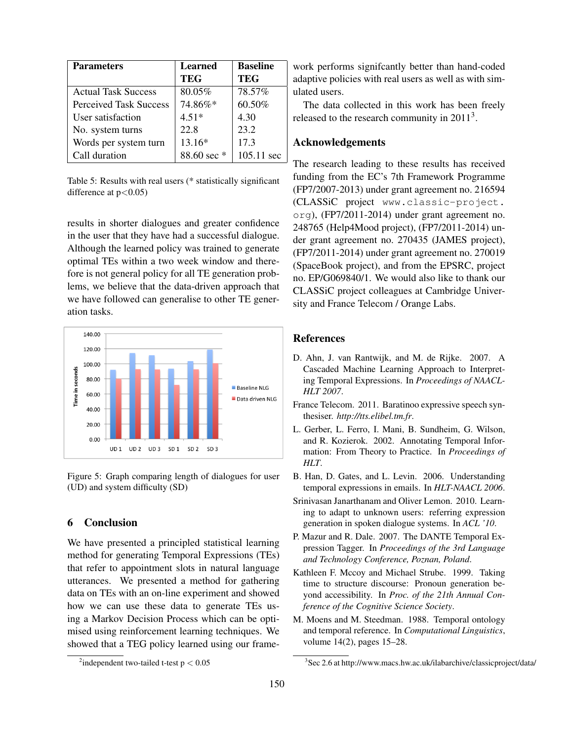| <b>Parameters</b>             | <b>Learned</b><br><b>TEG</b> | <b>Baseline</b><br><b>TEG</b> |
|-------------------------------|------------------------------|-------------------------------|
| <b>Actual Task Success</b>    | 80.05%                       | 78.57%                        |
| <b>Perceived Task Success</b> | 74.86%*                      | 60.50%                        |
| User satisfaction             | $4.51*$                      | 4.30                          |
| No. system turns              | 22.8                         | 23.2                          |
| Words per system turn         | 13.16*                       | 17.3                          |
| Call duration                 | 88.60 sec $*$                | $105.11 \text{ sec}$          |

Table 5: Results with real users (\* statistically significant difference at  $p < 0.05$ )

results in shorter dialogues and greater confidence in the user that they have had a successful dialogue. Although the learned policy was trained to generate optimal TEs within a two week window and therefore is not general policy for all TE generation problems, we believe that the data-driven approach that we have followed can generalise to other TE generation tasks.



Figure 5: Graph comparing length of dialogues for user (UD) and system difficulty (SD)

# 6 Conclusion

We have presented a principled statistical learning method for generating Temporal Expressions (TEs) that refer to appointment slots in natural language utterances. We presented a method for gathering data on TEs with an on-line experiment and showed how we can use these data to generate TEs using a Markov Decision Process which can be optimised using reinforcement learning techniques. We showed that a TEG policy learned using our framework performs signifcantly better than hand-coded adaptive policies with real users as well as with simulated users.

The data collected in this work has been freely released to the research community in  $2011<sup>3</sup>$ .

# Acknowledgements

The research leading to these results has received funding from the EC's 7th Framework Programme (FP7/2007-2013) under grant agreement no. 216594 (CLASSiC project www.classic-project. org), (FP7/2011-2014) under grant agreement no. 248765 (Help4Mood project), (FP7/2011-2014) under grant agreement no. 270435 (JAMES project), (FP7/2011-2014) under grant agreement no. 270019 (SpaceBook project), and from the EPSRC, project no. EP/G069840/1. We would also like to thank our CLASSiC project colleagues at Cambridge University and France Telecom / Orange Labs.

### References

- D. Ahn, J. van Rantwijk, and M. de Rijke. 2007. A Cascaded Machine Learning Approach to Interpreting Temporal Expressions. In *Proceedings of NAACL-HLT 2007*.
- France Telecom. 2011. Baratinoo expressive speech synthesiser. *http://tts.elibel.tm.fr*.
- L. Gerber, L. Ferro, I. Mani, B. Sundheim, G. Wilson, and R. Kozierok. 2002. Annotating Temporal Information: From Theory to Practice. In *Proceedings of HLT*.
- B. Han, D. Gates, and L. Levin. 2006. Understanding temporal expressions in emails. In *HLT-NAACL 2006*.
- Srinivasan Janarthanam and Oliver Lemon. 2010. Learning to adapt to unknown users: referring expression generation in spoken dialogue systems. In *ACL '10*.
- P. Mazur and R. Dale. 2007. The DANTE Temporal Expression Tagger. In *Proceedings of the 3rd Language and Technology Conference, Poznan, Poland*.
- Kathleen F. Mccoy and Michael Strube. 1999. Taking time to structure discourse: Pronoun generation beyond accessibility. In *Proc. of the 21th Annual Conference of the Cognitive Science Society*.
- M. Moens and M. Steedman. 1988. Temporal ontology and temporal reference. In *Computational Linguistics*, volume 14(2), pages 15–28.

<sup>&</sup>lt;sup>2</sup>independent two-tailed t-test  $p < 0.05$ 

<sup>3</sup> Sec 2.6 at http://www.macs.hw.ac.uk/ilabarchive/classicproject/data/